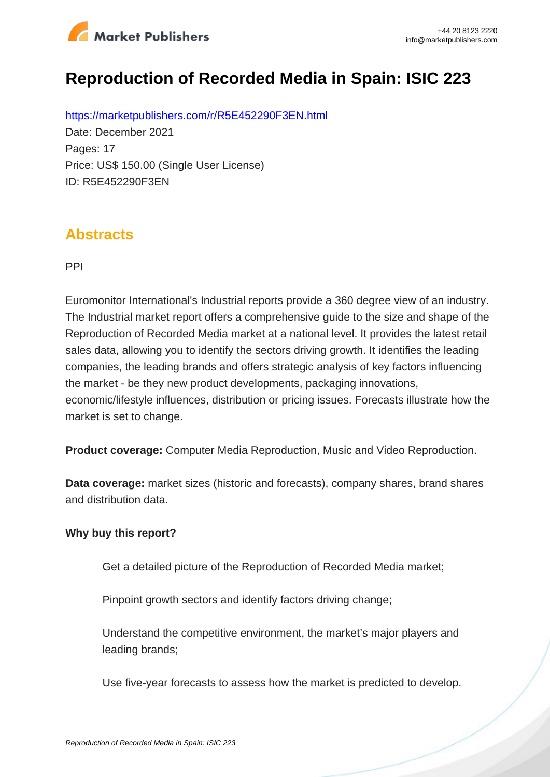

# **Reproduction of Recorded Media in Spain: ISIC 223**

https://marketpublishers.com/r/R5E452290F3EN.html Date: December 2021 Pages: 17 Price: US\$ 150.00 (Single User License) ID: R5E452290F3EN

### **Abstracts**

PPI

Euromonitor International's Industrial reports provide a 360 degree view of an industry. The Industrial market report offers a comprehensive guide to the size and shape of the Reproduction of Recorded Media market at a national level. It provides the latest retail sales data, allowing you to identify the sectors driving growth. It identifies the leading companies, the leading brands and offers strategic analysis of key factors influencing the market - be they new product developments, packaging innovations, economic/lifestyle influences, distribution or pricing issues. Forecasts illustrate how the market is set to change.

**Product coverage:** Computer Media Reproduction, Music and Video Reproduction.

**Data coverage:** market sizes (historic and forecasts), company shares, brand shares and distribution data.

#### **Why buy this report?**

Get a detailed picture of the Reproduction of Recorded Media market;

Pinpoint growth sectors and identify factors driving change;

Understand the competitive environment, the market's major players and leading brands;

Use five-year forecasts to assess how the market is predicted to develop.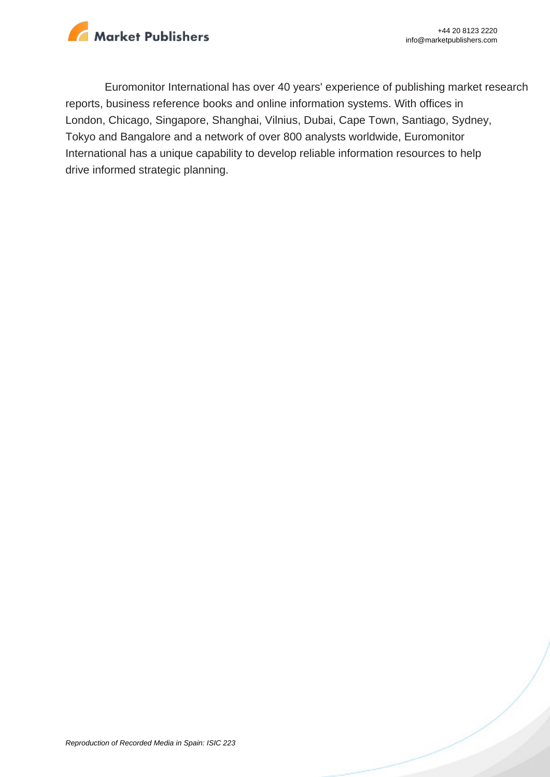

Euromonitor International has over 40 years' experience of publishing market research reports, business reference books and online information systems. With offices in London, Chicago, Singapore, Shanghai, Vilnius, Dubai, Cape Town, Santiago, Sydney, Tokyo and Bangalore and a network of over 800 analysts worldwide, Euromonitor International has a unique capability to develop reliable information resources to help drive informed strategic planning.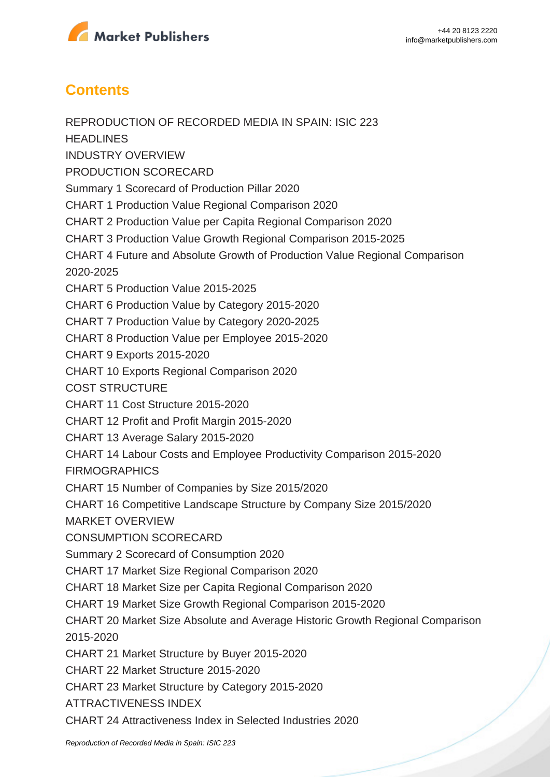

## **Contents**

REPRODUCTION OF RECORDED MEDIA IN SPAIN: ISIC 223 **HEADLINES** INDUSTRY OVERVIEW PRODUCTION SCORECARD Summary 1 Scorecard of Production Pillar 2020 CHART 1 Production Value Regional Comparison 2020 CHART 2 Production Value per Capita Regional Comparison 2020 CHART 3 Production Value Growth Regional Comparison 2015-2025 CHART 4 Future and Absolute Growth of Production Value Regional Comparison 2020-2025 CHART 5 Production Value 2015-2025 CHART 6 Production Value by Category 2015-2020 CHART 7 Production Value by Category 2020-2025 CHART 8 Production Value per Employee 2015-2020 CHART 9 Exports 2015-2020 CHART 10 Exports Regional Comparison 2020 COST STRUCTURE CHART 11 Cost Structure 2015-2020 CHART 12 Profit and Profit Margin 2015-2020 CHART 13 Average Salary 2015-2020 CHART 14 Labour Costs and Employee Productivity Comparison 2015-2020 FIRMOGRAPHICS CHART 15 Number of Companies by Size 2015/2020 CHART 16 Competitive Landscape Structure by Company Size 2015/2020 MARKET OVERVIEW CONSUMPTION SCORECARD Summary 2 Scorecard of Consumption 2020 CHART 17 Market Size Regional Comparison 2020 CHART 18 Market Size per Capita Regional Comparison 2020 CHART 19 Market Size Growth Regional Comparison 2015-2020 CHART 20 Market Size Absolute and Average Historic Growth Regional Comparison 2015-2020 CHART 21 Market Structure by Buyer 2015-2020 CHART 22 Market Structure 2015-2020 CHART 23 Market Structure by Category 2015-2020 ATTRACTIVENESS INDEX CHART 24 Attractiveness Index in Selected Industries 2020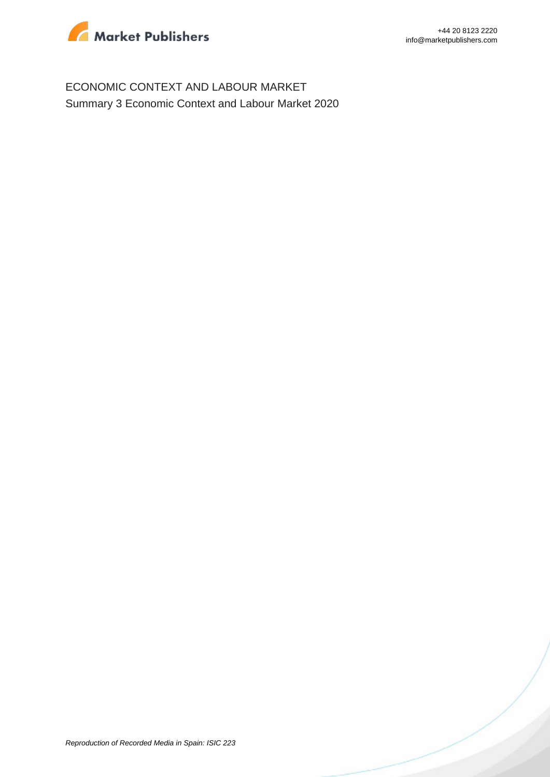

ECONOMIC CONTEXT AND LABOUR MARKET Summary 3 Economic Context and Labour Market 2020